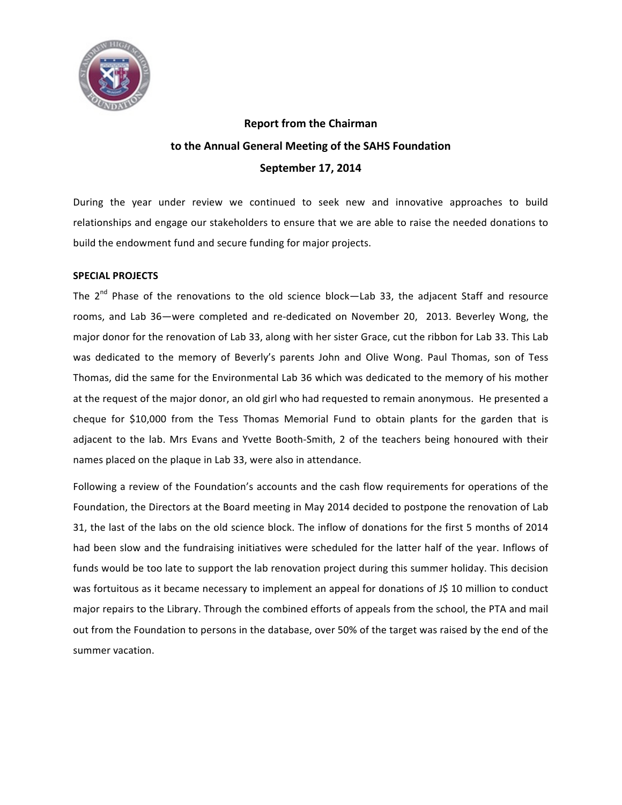

# **Report from the Chairman** to the Annual General Meeting of the SAHS Foundation **September 17, 2014**

During the year under review we continued to seek new and innovative approaches to build relationships and engage our stakeholders to ensure that we are able to raise the needed donations to build the endowment fund and secure funding for major projects.

## **SPECIAL PROJECTS**

The  $2^{nd}$  Phase of the renovations to the old science block—Lab 33, the adjacent Staff and resource rooms, and Lab 36—were completed and re-dedicated on November 20, 2013. Beverley Wong, the major donor for the renovation of Lab 33, along with her sister Grace, cut the ribbon for Lab 33. This Lab was dedicated to the memory of Beverly's parents John and Olive Wong. Paul Thomas, son of Tess Thomas, did the same for the Environmental Lab 36 which was dedicated to the memory of his mother at the request of the major donor, an old girl who had requested to remain anonymous. He presented a cheque for \$10,000 from the Tess Thomas Memorial Fund to obtain plants for the garden that is adjacent to the lab. Mrs Evans and Yvette Booth-Smith, 2 of the teachers being honoured with their names placed on the plaque in Lab 33, were also in attendance.

Following a review of the Foundation's accounts and the cash flow requirements for operations of the Foundation, the Directors at the Board meeting in May 2014 decided to postpone the renovation of Lab 31, the last of the labs on the old science block. The inflow of donations for the first 5 months of 2014 had been slow and the fundraising initiatives were scheduled for the latter half of the year. Inflows of funds would be too late to support the lab renovation project during this summer holiday. This decision was fortuitous as it became necessary to implement an appeal for donations of J\$ 10 million to conduct major repairs to the Library. Through the combined efforts of appeals from the school, the PTA and mail out from the Foundation to persons in the database, over 50% of the target was raised by the end of the summer vacation.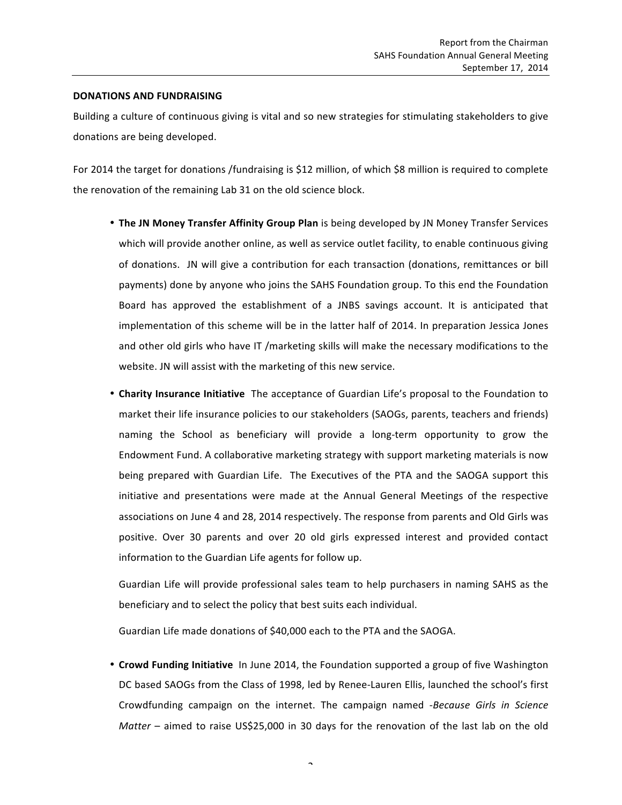### **DONATIONS AND FUNDRAISING**

Building a culture of continuous giving is vital and so new strategies for stimulating stakeholders to give donations are being developed.

For 2014 the target for donations /fundraising is \$12 million, of which \$8 million is required to complete the renovation of the remaining Lab 31 on the old science block.

- The JN Money Transfer Affinity Group Plan is being developed by JN Money Transfer Services which will provide another online, as well as service outlet facility, to enable continuous giving of donations. JN will give a contribution for each transaction (donations, remittances or bill payments) done by anyone who joins the SAHS Foundation group. To this end the Foundation Board has approved the establishment of a JNBS savings account. It is anticipated that implementation of this scheme will be in the latter half of 2014. In preparation Jessica Jones and other old girls who have IT /marketing skills will make the necessary modifications to the website. JN will assist with the marketing of this new service.
- Charity Insurance Initiative The acceptance of Guardian Life's proposal to the Foundation to market their life insurance policies to our stakeholders (SAOGs, parents, teachers and friends) naming the School as beneficiary will provide a long-term opportunity to grow the Endowment Fund. A collaborative marketing strategy with support marketing materials is now being prepared with Guardian Life. The Executives of the PTA and the SAOGA support this initiative and presentations were made at the Annual General Meetings of the respective associations on June 4 and 28, 2014 respectively. The response from parents and Old Girls was positive. Over 30 parents and over 20 old girls expressed interest and provided contact information to the Guardian Life agents for follow up.

Guardian Life will provide professional sales team to help purchasers in naming SAHS as the beneficiary and to select the policy that best suits each individual.

Guardian Life made donations of \$40,000 each to the PTA and the SAOGA.

• Crowd Funding Initiative In June 2014, the Foundation supported a group of five Washington DC based SAOGs from the Class of 1998, led by Renee-Lauren Ellis, launched the school's first Crowdfunding campaign on the internet. The campaign named -*Because Girls in Science Matter* – aimed to raise US\$25,000 in 30 days for the renovation of the last lab on the old

 $\overline{a}$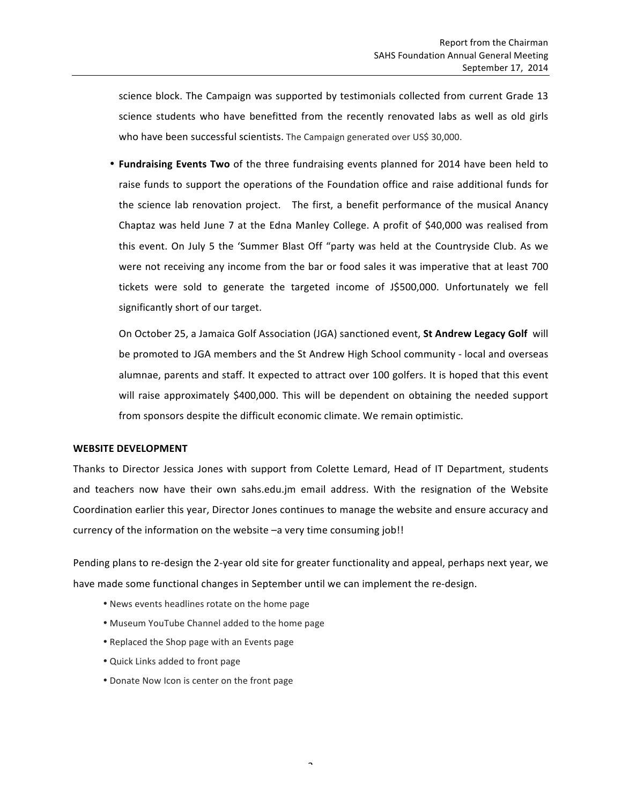science block. The Campaign was supported by testimonials collected from current Grade 13 science students who have benefitted from the recently renovated labs as well as old girls who have been successful scientists. The Campaign generated over US\$ 30,000.

• **Fundraising Events Two** of the three fundraising events planned for 2014 have been held to raise funds to support the operations of the Foundation office and raise additional funds for the science lab renovation project. The first, a benefit performance of the musical Anancy Chaptaz was held June 7 at the Edna Manley College. A profit of \$40,000 was realised from this event. On July 5 the 'Summer Blast Off "party was held at the Countryside Club. As we were not receiving any income from the bar or food sales it was imperative that at least 700 tickets were sold to generate the targeted income of J\$500,000. Unfortunately we fell significantly short of our target.

On October 25, a Jamaica Golf Association (JGA) sanctioned event, St Andrew Legacy Golf will be promoted to JGA members and the St Andrew High School community - local and overseas alumnae, parents and staff. It expected to attract over 100 golfers. It is hoped that this event will raise approximately \$400,000. This will be dependent on obtaining the needed support from sponsors despite the difficult economic climate. We remain optimistic.

#### WEBSITE DEVELOPMENT

Thanks to Director Jessica Jones with support from Colette Lemard, Head of IT Department, students and teachers now have their own sahs.edu.jm email address. With the resignation of the Website Coordination earlier this year, Director Jones continues to manage the website and ensure accuracy and currency of the information on the website  $-a$  very time consuming  $job!!$ 

Pending plans to re-design the 2-year old site for greater functionality and appeal, perhaps next year, we have made some functional changes in September until we can implement the re-design.

- News events headlines rotate on the home page
- Museum YouTube Channel added to the home page
- Replaced the Shop page with an Events page
- Quick Links added to front page
- Donate Now Icon is center on the front page